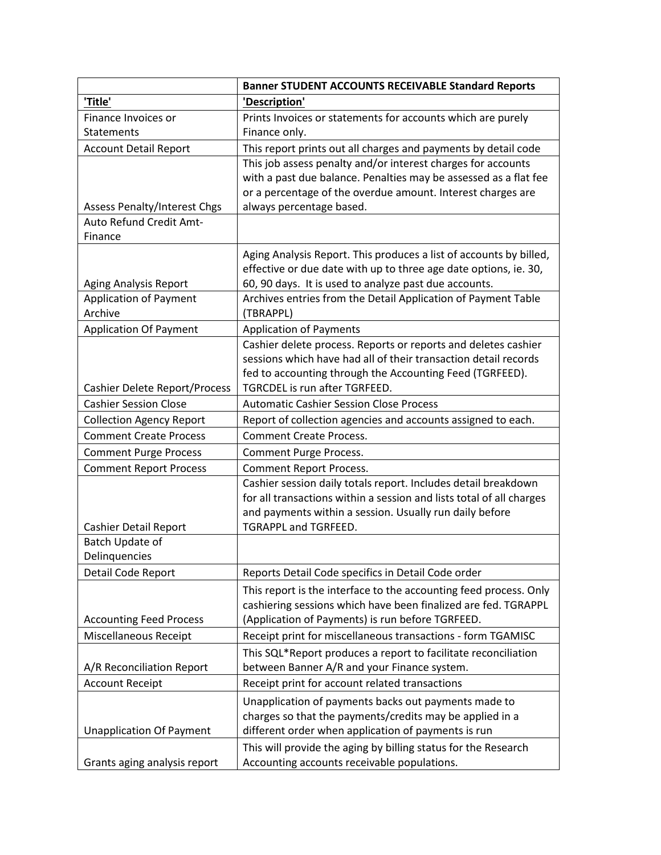|                                          | <b>Banner STUDENT ACCOUNTS RECEIVABLE Standard Reports</b>                                                                          |
|------------------------------------------|-------------------------------------------------------------------------------------------------------------------------------------|
| 'Title'                                  | 'Description'                                                                                                                       |
| Finance Invoices or                      | Prints Invoices or statements for accounts which are purely                                                                         |
| Statements                               | Finance only.                                                                                                                       |
| <b>Account Detail Report</b>             | This report prints out all charges and payments by detail code                                                                      |
|                                          | This job assess penalty and/or interest charges for accounts                                                                        |
|                                          | with a past due balance. Penalties may be assessed as a flat fee                                                                    |
|                                          | or a percentage of the overdue amount. Interest charges are                                                                         |
| <b>Assess Penalty/Interest Chgs</b>      | always percentage based.                                                                                                            |
| Auto Refund Credit Amt-<br>Finance       |                                                                                                                                     |
|                                          |                                                                                                                                     |
|                                          | Aging Analysis Report. This produces a list of accounts by billed,                                                                  |
| Aging Analysis Report                    | effective or due date with up to three age date options, ie. 30,<br>60, 90 days. It is used to analyze past due accounts.           |
| <b>Application of Payment</b>            | Archives entries from the Detail Application of Payment Table                                                                       |
| Archive                                  | (TBRAPPL)                                                                                                                           |
| <b>Application Of Payment</b>            | <b>Application of Payments</b>                                                                                                      |
|                                          | Cashier delete process. Reports or reports and deletes cashier                                                                      |
|                                          | sessions which have had all of their transaction detail records                                                                     |
|                                          | fed to accounting through the Accounting Feed (TGRFEED).                                                                            |
| <b>Cashier Delete Report/Process</b>     | TGRCDEL is run after TGRFEED.                                                                                                       |
| <b>Cashier Session Close</b>             | <b>Automatic Cashier Session Close Process</b>                                                                                      |
| <b>Collection Agency Report</b>          | Report of collection agencies and accounts assigned to each.                                                                        |
| <b>Comment Create Process</b>            | <b>Comment Create Process.</b>                                                                                                      |
| <b>Comment Purge Process</b>             | Comment Purge Process.                                                                                                              |
| <b>Comment Report Process</b>            | <b>Comment Report Process.</b>                                                                                                      |
|                                          | Cashier session daily totals report. Includes detail breakdown                                                                      |
|                                          | for all transactions within a session and lists total of all charges                                                                |
|                                          | and payments within a session. Usually run daily before                                                                             |
| Cashier Detail Report<br>Batch Update of | TGRAPPL and TGRFEED.                                                                                                                |
| Delinquencies                            |                                                                                                                                     |
| Detail Code Report                       | Reports Detail Code specifics in Detail Code order                                                                                  |
|                                          |                                                                                                                                     |
|                                          | This report is the interface to the accounting feed process. Only<br>cashiering sessions which have been finalized are fed. TGRAPPL |
| <b>Accounting Feed Process</b>           | (Application of Payments) is run before TGRFEED.                                                                                    |
| <b>Miscellaneous Receipt</b>             | Receipt print for miscellaneous transactions - form TGAMISC                                                                         |
|                                          | This SQL*Report produces a report to facilitate reconciliation                                                                      |
| A/R Reconciliation Report                | between Banner A/R and your Finance system.                                                                                         |
| <b>Account Receipt</b>                   | Receipt print for account related transactions                                                                                      |
|                                          | Unapplication of payments backs out payments made to                                                                                |
|                                          | charges so that the payments/credits may be applied in a                                                                            |
| <b>Unapplication Of Payment</b>          | different order when application of payments is run                                                                                 |
|                                          | This will provide the aging by billing status for the Research                                                                      |
| Grants aging analysis report             | Accounting accounts receivable populations.                                                                                         |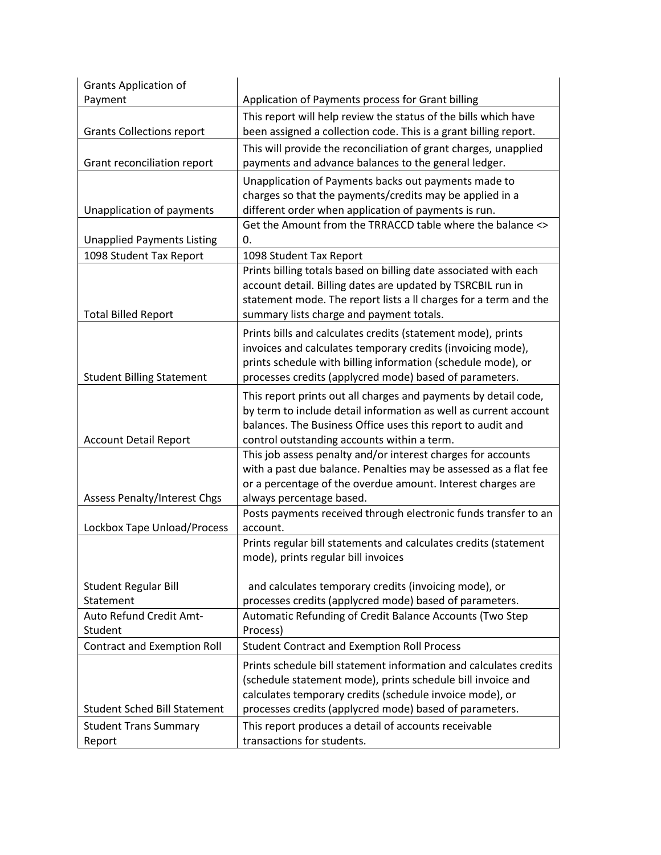| <b>Grants Application of</b>        |                                                                                                                                 |
|-------------------------------------|---------------------------------------------------------------------------------------------------------------------------------|
| Payment                             | Application of Payments process for Grant billing                                                                               |
|                                     | This report will help review the status of the bills which have                                                                 |
| <b>Grants Collections report</b>    | been assigned a collection code. This is a grant billing report.                                                                |
|                                     | This will provide the reconciliation of grant charges, unapplied                                                                |
| Grant reconciliation report         | payments and advance balances to the general ledger.                                                                            |
|                                     | Unapplication of Payments backs out payments made to                                                                            |
|                                     | charges so that the payments/credits may be applied in a                                                                        |
| Unapplication of payments           | different order when application of payments is run.                                                                            |
|                                     | Get the Amount from the TRRACCD table where the balance <>                                                                      |
| <b>Unapplied Payments Listing</b>   | 0.                                                                                                                              |
| 1098 Student Tax Report             | 1098 Student Tax Report                                                                                                         |
|                                     | Prints billing totals based on billing date associated with each                                                                |
|                                     | account detail. Billing dates are updated by TSRCBIL run in<br>statement mode. The report lists a ll charges for a term and the |
| <b>Total Billed Report</b>          | summary lists charge and payment totals.                                                                                        |
|                                     |                                                                                                                                 |
|                                     | Prints bills and calculates credits (statement mode), prints<br>invoices and calculates temporary credits (invoicing mode),     |
|                                     | prints schedule with billing information (schedule mode), or                                                                    |
| <b>Student Billing Statement</b>    | processes credits (applycred mode) based of parameters.                                                                         |
|                                     | This report prints out all charges and payments by detail code,                                                                 |
|                                     | by term to include detail information as well as current account                                                                |
|                                     | balances. The Business Office uses this report to audit and                                                                     |
| <b>Account Detail Report</b>        | control outstanding accounts within a term.                                                                                     |
|                                     | This job assess penalty and/or interest charges for accounts                                                                    |
|                                     | with a past due balance. Penalties may be assessed as a flat fee                                                                |
|                                     | or a percentage of the overdue amount. Interest charges are                                                                     |
| <b>Assess Penalty/Interest Chgs</b> | always percentage based.                                                                                                        |
|                                     | Posts payments received through electronic funds transfer to an                                                                 |
| Lockbox Tape Unload/Process         | account.                                                                                                                        |
|                                     | Prints regular bill statements and calculates credits (statement                                                                |
|                                     | mode), prints regular bill invoices                                                                                             |
| <b>Student Regular Bill</b>         | and calculates temporary credits (invoicing mode), or                                                                           |
| Statement                           | processes credits (applycred mode) based of parameters.                                                                         |
| Auto Refund Credit Amt-             | Automatic Refunding of Credit Balance Accounts (Two Step                                                                        |
| Student                             | Process)                                                                                                                        |
| <b>Contract and Exemption Roll</b>  | <b>Student Contract and Exemption Roll Process</b>                                                                              |
|                                     | Prints schedule bill statement information and calculates credits                                                               |
|                                     | (schedule statement mode), prints schedule bill invoice and                                                                     |
|                                     | calculates temporary credits (schedule invoice mode), or                                                                        |
| <b>Student Sched Bill Statement</b> | processes credits (applycred mode) based of parameters.                                                                         |
| <b>Student Trans Summary</b>        | This report produces a detail of accounts receivable                                                                            |
| Report                              | transactions for students.                                                                                                      |